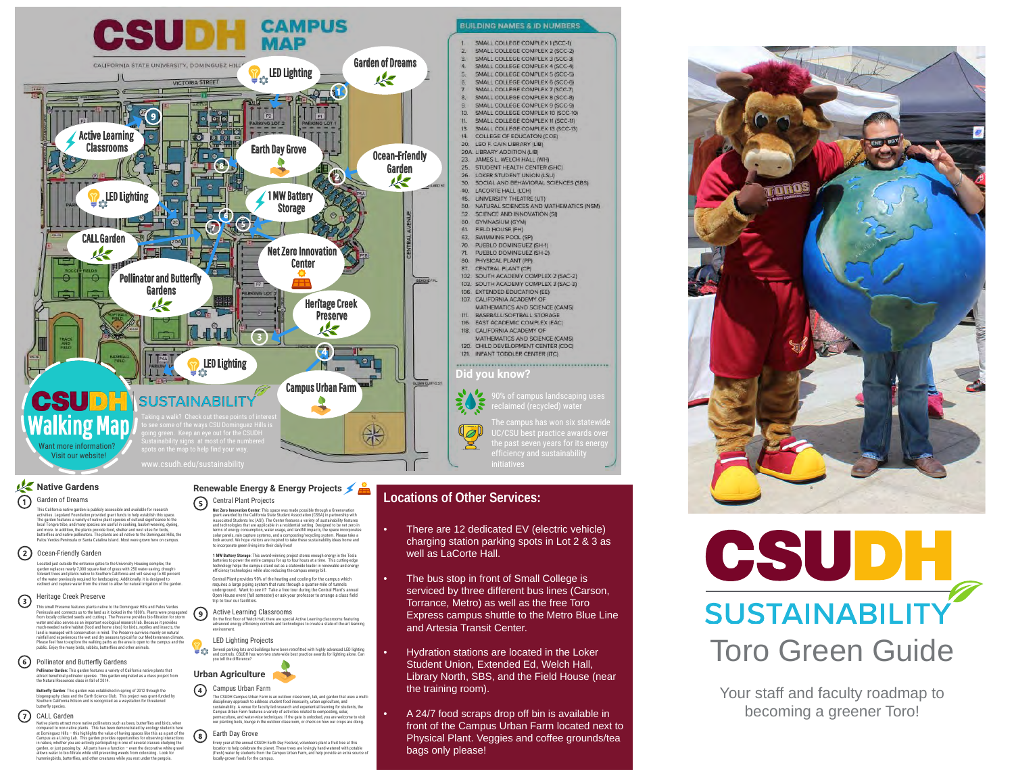

### **Native Gardens** Garden of Dreams ⋒

This California native garden is publicly accessible and available for research activities. Legoland Foundation provided grant funds to help establisht hits space.<br>The garden features a variety of native julars togeles of cultural significance to the<br>local Tongva tribe, and many species are useful in

### Ocean-Friendly Garden

Located just outside the entrance gates to the University Housing complex, the<br>garden replaces nearly 7,000 square-feet of grass with 250 water-saving, drought-<br>tolerant trees and plants native to Southern California and w

#### Heritage Creek Preserve  $\odot$

This small Preserve features plants native to the Dominguez Hills and Palos Verdes Peninsula and connects us to the land as it looked in the 1800's. Plants were propagated from locally collected seeds and cuttings. The Preserve provides bio-filteration for storm<br>water and also serves as an important ecological research tab. Because it provides<br>and also serves as an important ecological resea

### Pollinator and Butterfly Gardens

**Pollinator Garden:** This garden features a variety of California native plants that<br>attract beneficial pollinator species. This garden originated as a class project from<br>the Natural Resources class in fall of 2014.

**Butterfly Garden**: This garden was established in spring of 2012 through the biogeography class and the Earth Science Club. This project was grant-funded by Southern California Edison and is recognized as a waystation for threatened butterfly species.

### (7) CALL Garden

Native plants attract more mative pollinators such as been, butterflies and briefs, when<br>compared to non-native plants. This has been demonstrated by ecology students here<br>at Dominguez Hills – this highlights the value of

### **Renewable Energy & Energy Projects**  $\circ$ Central Plant Projects

**Net Zero Immouration Center:** This space was made possible through a Greenovation<br>grant awarded by the California State Shuett Masscalation (CSSA) in partnership with<br>Associated Students (nc (ASI). The Center features a v

**1 MW Battery Storage**: This award-winning project stores enough energy in the Tesla batteries to power the entire campus for up to four hours at a time. This cutting-edge technology helps the campus stand out as a statewide leader in renewable and energy efficiency technologies while also reducing the campus energy bill.

Central Plant provides 90% of the heating and cooling for the campus which<br>requires a large piping system that runs through a quarter-mile of tunnels<br>underground. Want to see it? Take a free tour during the Central Plant's

#### $(9)$ Active Learning Classrooms

On the first floor of Welch Hall, there are special Active Learning classrooms featuring advanced energy efficiency controls and technologies to create a state-of-the-art learning environment.

### LED Lighting Projects Ψœ

Several parking lots and buildings have been retrofitted with highly advanced LED lighting and controls. CSUDH has won two state-wide best practice awards for lighting alone. Can you tell the difference?



#### $\Omega$ Campus Urban Farm

The CSUDH Campus Lidban Farm is an outdoor classroom, lab, and garden that uses a multi-<br>disciplinary approach to address student food insecurity, urban agriculture, and<br>sustainability. A venue for faculty-led research and our planting beds, lounge in the outdoor classroom, or check on how our crops are doing.

## Earth Day Grove

Every year at the annual CSUDH Earth Day Festival, volunteers plant a fruit tree at this<br>location to help celebrate the planet . These trees are lovingly hand-watered with potable<br>(fresh) water by students from the Campus

## **Locations of Other Services:**

- There are 12 dedicated EV (electric vehicle) charging station parking spots in Lot 2 & 3 as well as LaCorte Hall.
- The bus stop in front of Small College is serviced by three different bus lines (Carson, Torrance, Metro) as well as the free Toro Express campus shuttle to the Metro Blue Line and Artesia Transit Center.
- Hydration stations are located in the Loker Student Union, Extended Ed, Welch Hall, Library North, SBS, and the Field House (near the training room).
- A 24/7 food scraps drop off bin is available in front of the Campus Urban Farm located next to Physical Plant. Veggies and coffee grounds/tea bags only please!





Your staff and faculty roadmap to becoming a greener Toro!